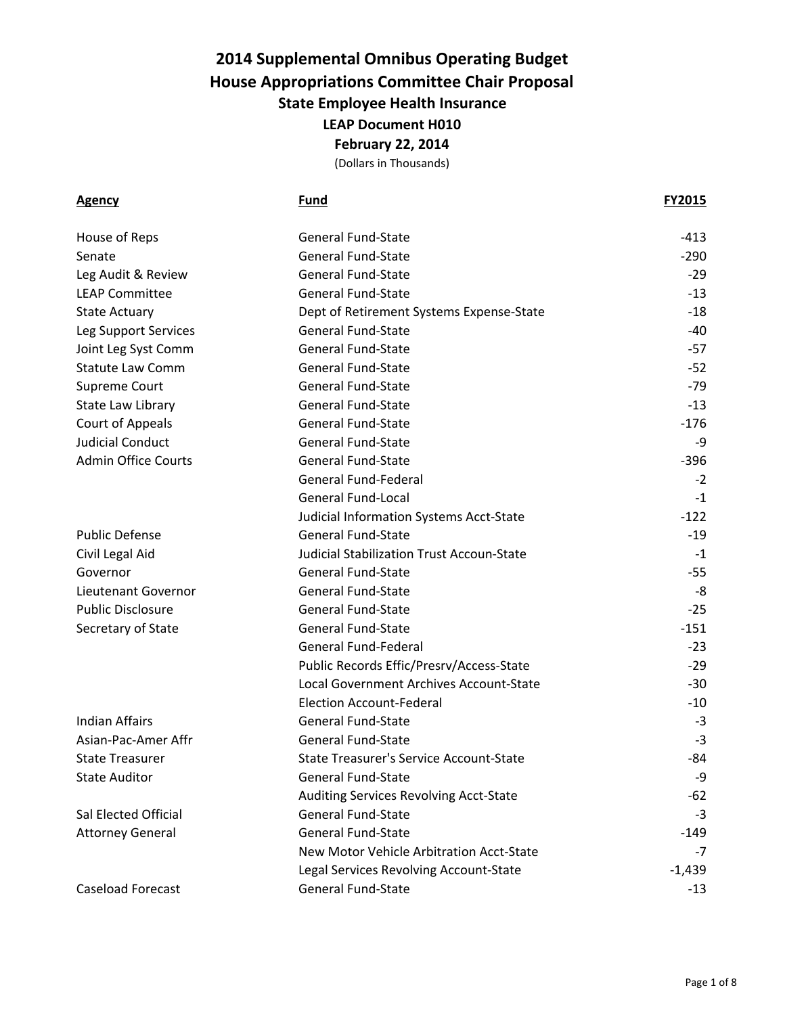(Dollars in Thousands)

| House of Reps              | <b>General Fund-State</b>                      | $-413$   |
|----------------------------|------------------------------------------------|----------|
| Senate                     | <b>General Fund-State</b>                      | $-290$   |
| Leg Audit & Review         | <b>General Fund-State</b>                      | $-29$    |
| <b>LEAP Committee</b>      | <b>General Fund-State</b>                      | $-13$    |
| <b>State Actuary</b>       | Dept of Retirement Systems Expense-State       | $-18$    |
| Leg Support Services       | <b>General Fund-State</b>                      | -40      |
| Joint Leg Syst Comm        | <b>General Fund-State</b>                      | $-57$    |
| <b>Statute Law Comm</b>    | <b>General Fund-State</b>                      | $-52$    |
| <b>Supreme Court</b>       | <b>General Fund-State</b>                      | -79      |
| <b>State Law Library</b>   | <b>General Fund-State</b>                      | $-13$    |
| Court of Appeals           | <b>General Fund-State</b>                      | $-176$   |
| <b>Judicial Conduct</b>    | <b>General Fund-State</b>                      | -9       |
| <b>Admin Office Courts</b> | <b>General Fund-State</b>                      | $-396$   |
|                            | <b>General Fund-Federal</b>                    | $-2$     |
|                            | <b>General Fund-Local</b>                      | $-1$     |
|                            | Judicial Information Systems Acct-State        | $-122$   |
| <b>Public Defense</b>      | <b>General Fund-State</b>                      | $-19$    |
| Civil Legal Aid            | Judicial Stabilization Trust Accoun-State      | $-1$     |
| Governor                   | <b>General Fund-State</b>                      | -55      |
| Lieutenant Governor        | <b>General Fund-State</b>                      | -8       |
| <b>Public Disclosure</b>   | <b>General Fund-State</b>                      | $-25$    |
| Secretary of State         | <b>General Fund-State</b>                      | $-151$   |
|                            | <b>General Fund-Federal</b>                    | $-23$    |
|                            | Public Records Effic/Presrv/Access-State       | $-29$    |
|                            | Local Government Archives Account-State        | $-30$    |
|                            | <b>Election Account-Federal</b>                | $-10$    |
| <b>Indian Affairs</b>      | <b>General Fund-State</b>                      | $-3$     |
| Asian-Pac-Amer Affr        | <b>General Fund-State</b>                      | $-3$     |
| <b>State Treasurer</b>     | <b>State Treasurer's Service Account-State</b> | -84      |
| <b>State Auditor</b>       | <b>General Fund-State</b>                      | -9       |
|                            | Auditing Services Revolving Acct-State         | $-62$    |
| Sal Elected Official       | <b>General Fund-State</b>                      | -3       |
| <b>Attorney General</b>    | <b>General Fund-State</b>                      | -149     |
|                            | New Motor Vehicle Arbitration Acct-State       | -7       |
|                            | Legal Services Revolving Account-State         | $-1,439$ |
| <b>Caseload Forecast</b>   | <b>General Fund-State</b>                      | $-13$    |
|                            |                                                |          |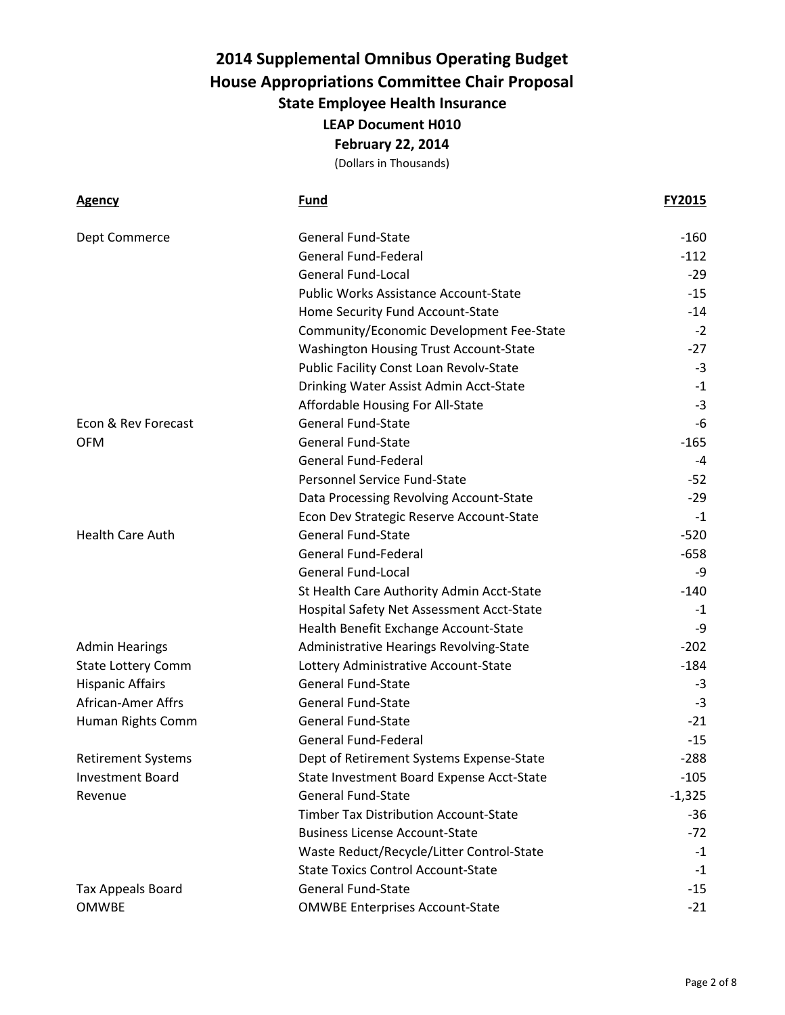| <b>Agency</b>             | <b>Fund</b>                                  | <b>FY2015</b> |
|---------------------------|----------------------------------------------|---------------|
| Dept Commerce             | <b>General Fund-State</b>                    | $-160$        |
|                           | <b>General Fund-Federal</b>                  | $-112$        |
|                           | <b>General Fund-Local</b>                    | $-29$         |
|                           | <b>Public Works Assistance Account-State</b> | $-15$         |
|                           | Home Security Fund Account-State             | $-14$         |
|                           | Community/Economic Development Fee-State     | $-2$          |
|                           | Washington Housing Trust Account-State       | $-27$         |
|                           | Public Facility Const Loan Revolv-State      | $-3$          |
|                           | Drinking Water Assist Admin Acct-State       | $-1$          |
|                           | Affordable Housing For All-State             | $-3$          |
| Econ & Rev Forecast       | <b>General Fund-State</b>                    | -6            |
| <b>OFM</b>                | <b>General Fund-State</b>                    | $-165$        |
|                           | <b>General Fund-Federal</b>                  | -4            |
|                           | Personnel Service Fund-State                 | $-52$         |
|                           | Data Processing Revolving Account-State      | $-29$         |
|                           | Econ Dev Strategic Reserve Account-State     | $-1$          |
| <b>Health Care Auth</b>   | <b>General Fund-State</b>                    | $-520$        |
|                           | <b>General Fund-Federal</b>                  | $-658$        |
|                           | <b>General Fund-Local</b>                    | -9            |
|                           | St Health Care Authority Admin Acct-State    | $-140$        |
|                           | Hospital Safety Net Assessment Acct-State    | -1            |
|                           | Health Benefit Exchange Account-State        | -9            |
| <b>Admin Hearings</b>     | Administrative Hearings Revolving-State      | $-202$        |
| <b>State Lottery Comm</b> | Lottery Administrative Account-State         | $-184$        |
| <b>Hispanic Affairs</b>   | <b>General Fund-State</b>                    | -3            |
| <b>African-Amer Affrs</b> | <b>General Fund-State</b>                    | $-3$          |
| Human Rights Comm         | <b>General Fund-State</b>                    | $-21$         |
|                           | <b>General Fund-Federal</b>                  | $-15$         |
| <b>Retirement Systems</b> | Dept of Retirement Systems Expense-State     | $-288$        |
| <b>Investment Board</b>   | State Investment Board Expense Acct-State    | $-105$        |
| Revenue                   | <b>General Fund-State</b>                    | $-1,325$      |
|                           | <b>Timber Tax Distribution Account-State</b> | $-36$         |
|                           | <b>Business License Account-State</b>        | $-72$         |
|                           | Waste Reduct/Recycle/Litter Control-State    | $-1$          |
|                           | <b>State Toxics Control Account-State</b>    | $-1$          |
| <b>Tax Appeals Board</b>  | <b>General Fund-State</b>                    | $-15$         |
| <b>OMWBE</b>              | <b>OMWBE Enterprises Account-State</b>       | $-21$         |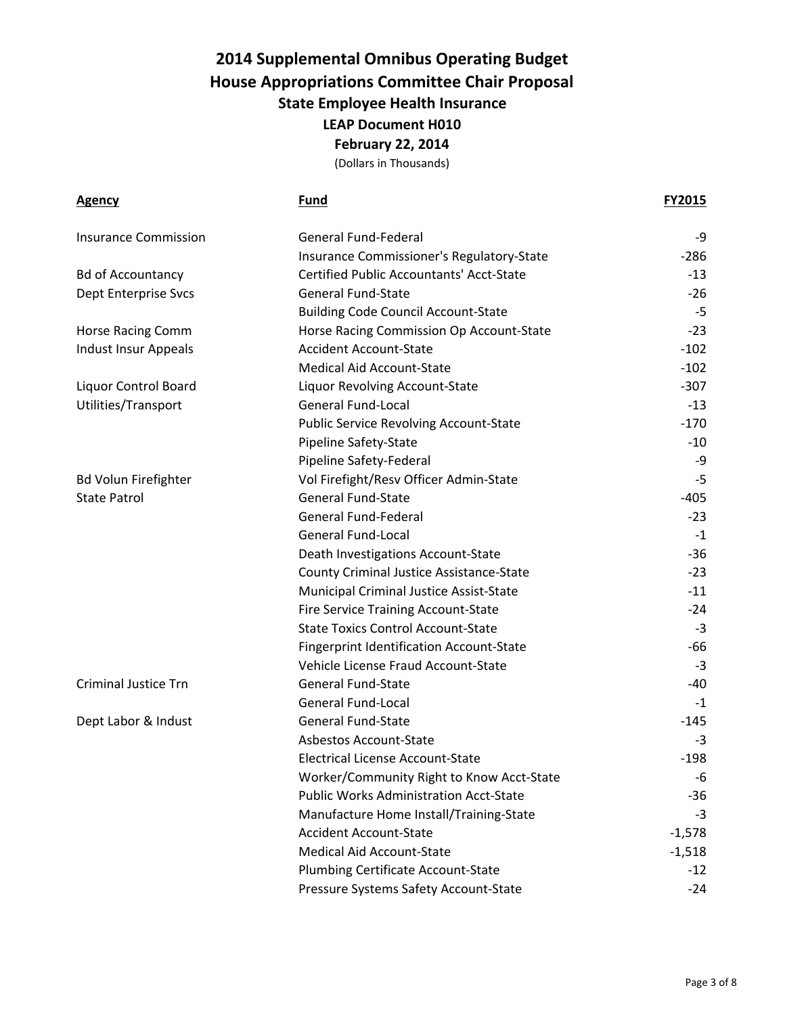| <u>Agency</u>               | Fund                                            | FY2015   |
|-----------------------------|-------------------------------------------------|----------|
| <b>Insurance Commission</b> | <b>General Fund-Federal</b>                     | -9       |
|                             | Insurance Commissioner's Regulatory-State       | $-286$   |
| <b>Bd of Accountancy</b>    | <b>Certified Public Accountants' Acct-State</b> | $-13$    |
| Dept Enterprise Svcs        | <b>General Fund-State</b>                       | $-26$    |
|                             | <b>Building Code Council Account-State</b>      | $-5$     |
| <b>Horse Racing Comm</b>    | Horse Racing Commission Op Account-State        | $-23$    |
| <b>Indust Insur Appeals</b> | <b>Accident Account-State</b>                   | $-102$   |
|                             | <b>Medical Aid Account-State</b>                | $-102$   |
| Liquor Control Board        | Liquor Revolving Account-State                  | $-307$   |
| Utilities/Transport         | <b>General Fund-Local</b>                       | $-13$    |
|                             | <b>Public Service Revolving Account-State</b>   | $-170$   |
|                             | Pipeline Safety-State                           | $-10$    |
|                             | Pipeline Safety-Federal                         | -9       |
| <b>Bd Volun Firefighter</b> | Vol Firefight/Resv Officer Admin-State          | $-5$     |
| <b>State Patrol</b>         | <b>General Fund-State</b>                       | $-405$   |
|                             | <b>General Fund-Federal</b>                     | $-23$    |
|                             | <b>General Fund-Local</b>                       | $-1$     |
|                             | Death Investigations Account-State              | $-36$    |
|                             | County Criminal Justice Assistance-State        | $-23$    |
|                             | Municipal Criminal Justice Assist-State         | $-11$    |
|                             | <b>Fire Service Training Account-State</b>      | $-24$    |
|                             | <b>State Toxics Control Account-State</b>       | $-3$     |
|                             | <b>Fingerprint Identification Account-State</b> | -66      |
|                             | Vehicle License Fraud Account-State             | $-3$     |
| <b>Criminal Justice Trn</b> | <b>General Fund-State</b>                       | -40      |
|                             | <b>General Fund-Local</b>                       | -1       |
| Dept Labor & Indust         | <b>General Fund-State</b>                       | $-145$   |
|                             | <b>Asbestos Account-State</b>                   | $-3$     |
|                             | <b>Electrical License Account-State</b>         | $-198$   |
|                             | Worker/Community Right to Know Acct-State       | -6       |
|                             | <b>Public Works Administration Acct-State</b>   | $-36$    |
|                             | Manufacture Home Install/Training-State         | $-3$     |
|                             | <b>Accident Account-State</b>                   | $-1,578$ |
|                             | <b>Medical Aid Account-State</b>                | $-1,518$ |
|                             | Plumbing Certificate Account-State              | $-12$    |
|                             | Pressure Systems Safety Account-State           | $-24$    |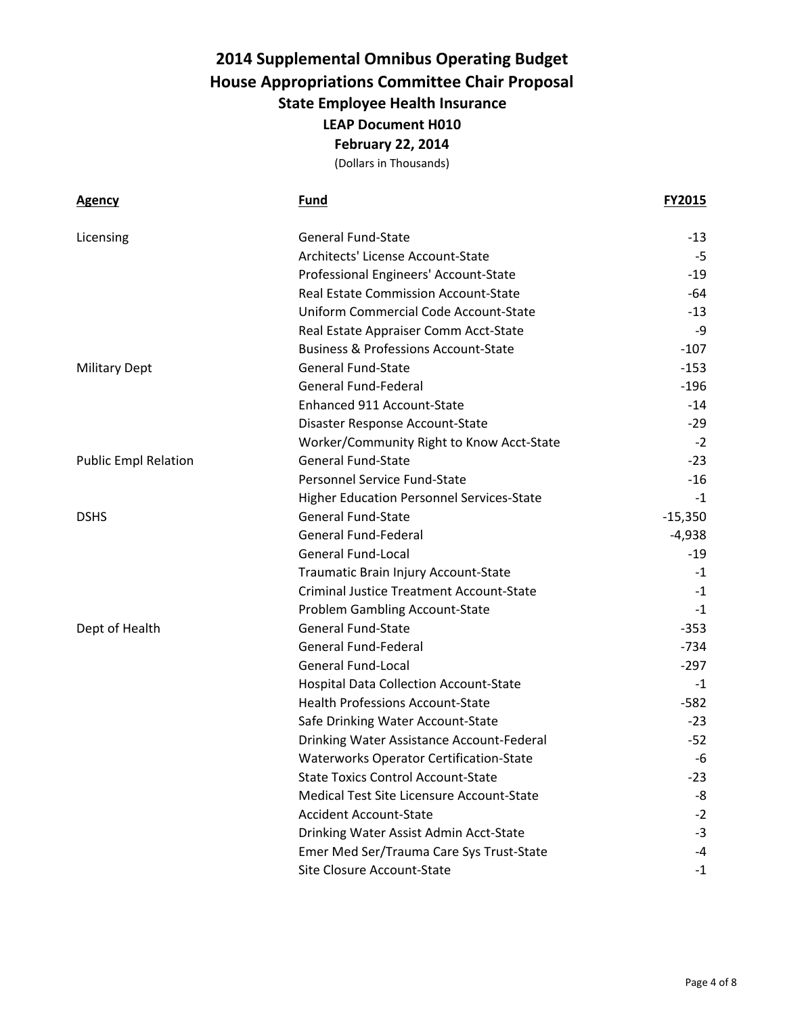| <b>Agency</b>               | <b>Fund</b>                                     | <b>FY2015</b> |
|-----------------------------|-------------------------------------------------|---------------|
| Licensing                   | <b>General Fund-State</b>                       | $-13$         |
|                             | Architects' License Account-State               | -5            |
|                             | Professional Engineers' Account-State           | $-19$         |
|                             | <b>Real Estate Commission Account-State</b>     | -64           |
|                             | Uniform Commercial Code Account-State           | $-13$         |
|                             | Real Estate Appraiser Comm Acct-State           | -9            |
|                             | <b>Business &amp; Professions Account-State</b> | $-107$        |
| <b>Military Dept</b>        | <b>General Fund-State</b>                       | $-153$        |
|                             | <b>General Fund-Federal</b>                     | $-196$        |
|                             | Enhanced 911 Account-State                      | $-14$         |
|                             | Disaster Response Account-State                 | $-29$         |
|                             | Worker/Community Right to Know Acct-State       | $-2$          |
| <b>Public Empl Relation</b> | <b>General Fund-State</b>                       | $-23$         |
|                             | Personnel Service Fund-State                    | $-16$         |
|                             | Higher Education Personnel Services-State       | $-1$          |
| <b>DSHS</b>                 | <b>General Fund-State</b>                       | $-15,350$     |
|                             | <b>General Fund-Federal</b>                     | $-4,938$      |
|                             | <b>General Fund-Local</b>                       | $-19$         |
|                             | Traumatic Brain Injury Account-State            | -1            |
|                             | <b>Criminal Justice Treatment Account-State</b> | $-1$          |
|                             | Problem Gambling Account-State                  | $-1$          |
| Dept of Health              | <b>General Fund-State</b>                       | $-353$        |
|                             | <b>General Fund-Federal</b>                     | $-734$        |
|                             | <b>General Fund-Local</b>                       | $-297$        |
|                             | Hospital Data Collection Account-State          | -1            |
|                             | <b>Health Professions Account-State</b>         | $-582$        |
|                             | Safe Drinking Water Account-State               | $-23$         |
|                             | Drinking Water Assistance Account-Federal       | $-52$         |
|                             | <b>Waterworks Operator Certification-State</b>  | -6            |
|                             | <b>State Toxics Control Account-State</b>       | -23           |
|                             | Medical Test Site Licensure Account-State       | -8            |
|                             | <b>Accident Account-State</b>                   | $-2$          |
|                             | Drinking Water Assist Admin Acct-State          | $-3$          |
|                             | Emer Med Ser/Trauma Care Sys Trust-State        | -4            |
|                             | Site Closure Account-State                      | -1            |
|                             |                                                 |               |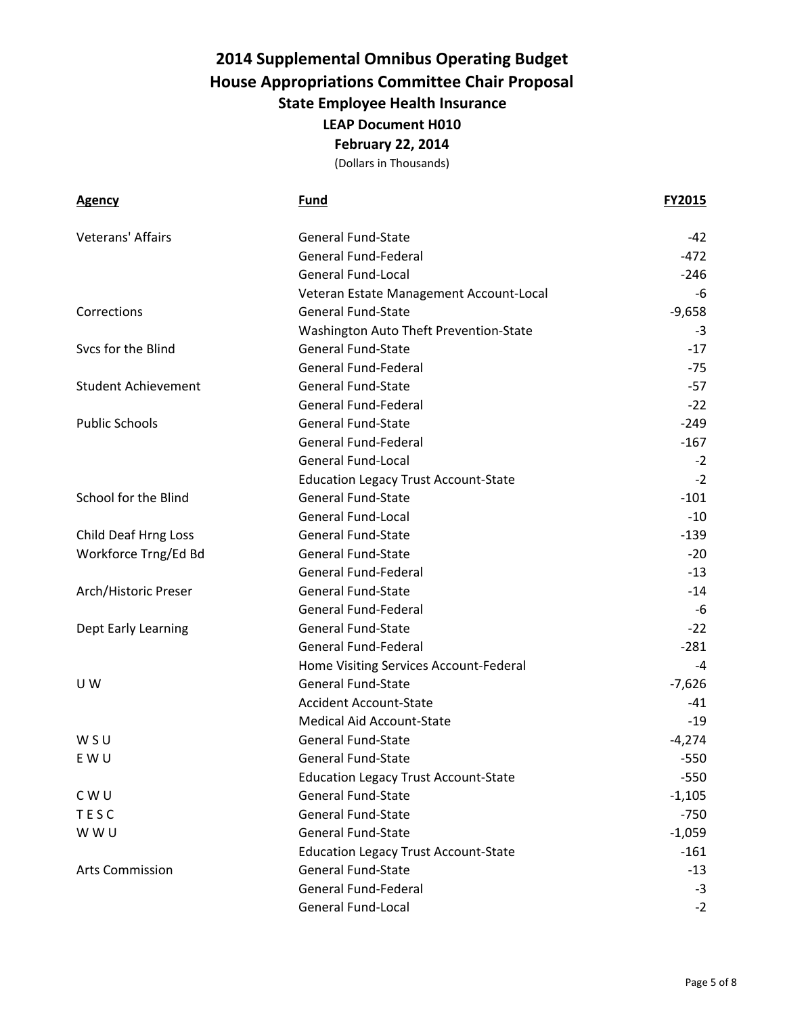| Agency                     | <b>Fund</b>                                 | <b>FY2015</b> |
|----------------------------|---------------------------------------------|---------------|
| Veterans' Affairs          | <b>General Fund-State</b>                   | -42           |
|                            | <b>General Fund-Federal</b>                 | $-472$        |
|                            | <b>General Fund-Local</b>                   | $-246$        |
|                            | Veteran Estate Management Account-Local     | -6            |
| Corrections                | <b>General Fund-State</b>                   | $-9,658$      |
|                            | Washington Auto Theft Prevention-State      | $-3$          |
| Svcs for the Blind         | <b>General Fund-State</b>                   | $-17$         |
|                            | <b>General Fund-Federal</b>                 | $-75$         |
| <b>Student Achievement</b> | <b>General Fund-State</b>                   | -57           |
|                            | General Fund-Federal                        | $-22$         |
| <b>Public Schools</b>      | <b>General Fund-State</b>                   | $-249$        |
|                            | <b>General Fund-Federal</b>                 | $-167$        |
|                            | <b>General Fund-Local</b>                   | $-2$          |
|                            | <b>Education Legacy Trust Account-State</b> | $-2$          |
| School for the Blind       | <b>General Fund-State</b>                   | $-101$        |
|                            | <b>General Fund-Local</b>                   | $-10$         |
| Child Deaf Hrng Loss       | <b>General Fund-State</b>                   | $-139$        |
| Workforce Trng/Ed Bd       | <b>General Fund-State</b>                   | $-20$         |
|                            | <b>General Fund-Federal</b>                 | $-13$         |
| Arch/Historic Preser       | <b>General Fund-State</b>                   | $-14$         |
|                            | General Fund-Federal                        | -6            |
| Dept Early Learning        | <b>General Fund-State</b>                   | $-22$         |
|                            | <b>General Fund-Federal</b>                 | $-281$        |
|                            | Home Visiting Services Account-Federal      | -4            |
| U W                        | <b>General Fund-State</b>                   | $-7,626$      |
|                            | <b>Accident Account-State</b>               | -41           |
|                            | <b>Medical Aid Account-State</b>            | $-19$         |
| WSU                        | <b>General Fund-State</b>                   | $-4,274$      |
| E W U                      | <b>General Fund-State</b>                   | $-550$        |
|                            | <b>Education Legacy Trust Account-State</b> | $-550$        |
| CWU                        | <b>General Fund-State</b>                   | $-1,105$      |
| <b>TESC</b>                | <b>General Fund-State</b>                   | $-750$        |
| W W U                      | <b>General Fund-State</b>                   | $-1,059$      |
|                            | <b>Education Legacy Trust Account-State</b> | $-161$        |
| <b>Arts Commission</b>     | <b>General Fund-State</b>                   | $-13$         |
|                            | <b>General Fund-Federal</b>                 | $-3$          |
|                            | <b>General Fund-Local</b>                   | $-2$          |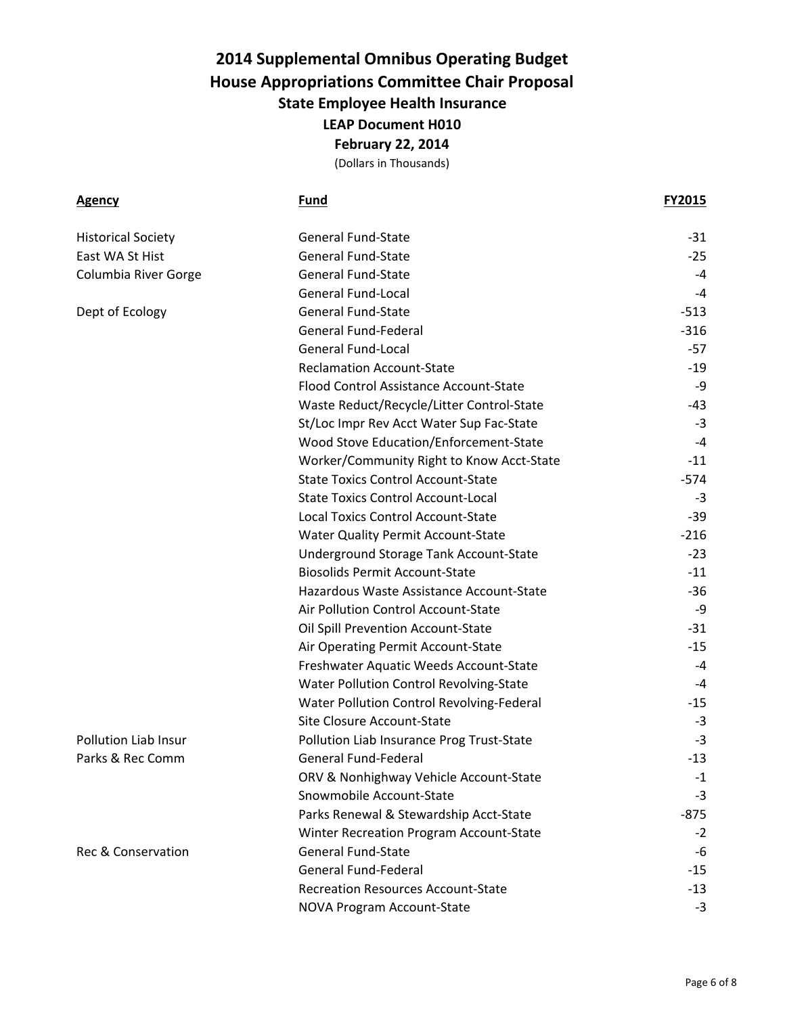(Dollars in Thousands)

**Agency Fund FY2015**

|                                              | <b>General Fund-State</b>                 | $-31$  |
|----------------------------------------------|-------------------------------------------|--------|
| <b>Historical Society</b><br>East WA St Hist | General Fund-State                        | $-25$  |
|                                              | <b>General Fund-State</b>                 | $-4$   |
| Columbia River Gorge                         | <b>General Fund-Local</b>                 | $-4$   |
|                                              | <b>General Fund-State</b>                 | $-513$ |
| Dept of Ecology                              | General Fund-Federal                      | $-316$ |
|                                              | <b>General Fund-Local</b>                 | -57    |
|                                              | <b>Reclamation Account-State</b>          | $-19$  |
|                                              | Flood Control Assistance Account-State    | -9     |
|                                              |                                           | -43    |
|                                              | Waste Reduct/Recycle/Litter Control-State | $-3$   |
|                                              | St/Loc Impr Rev Acct Water Sup Fac-State  |        |
|                                              | Wood Stove Education/Enforcement-State    | $-4$   |
|                                              | Worker/Community Right to Know Acct-State | $-11$  |
|                                              | <b>State Toxics Control Account-State</b> | $-574$ |
|                                              | <b>State Toxics Control Account-Local</b> | $-3$   |
|                                              | <b>Local Toxics Control Account-State</b> | -39    |
|                                              | Water Quality Permit Account-State        | $-216$ |
|                                              | Underground Storage Tank Account-State    | $-23$  |
|                                              | <b>Biosolids Permit Account-State</b>     | $-11$  |
|                                              | Hazardous Waste Assistance Account-State  | $-36$  |
|                                              | Air Pollution Control Account-State       | -9     |
|                                              | Oil Spill Prevention Account-State        | $-31$  |
|                                              | Air Operating Permit Account-State        | $-15$  |
|                                              | Freshwater Aquatic Weeds Account-State    | -4     |
|                                              | Water Pollution Control Revolving-State   | $-4$   |
|                                              | Water Pollution Control Revolving-Federal | $-15$  |
|                                              | Site Closure Account-State                | $-3$   |
| Pollution Liab Insur                         | Pollution Liab Insurance Prog Trust-State | $-3$   |
| Parks & Rec Comm                             | <b>General Fund-Federal</b>               | $-13$  |
|                                              | ORV & Nonhighway Vehicle Account-State    | $-1$   |
|                                              | Snowmobile Account-State                  | -3     |
|                                              | Parks Renewal & Stewardship Acct-State    | -875   |
|                                              | Winter Recreation Program Account-State   | $-2$   |
| Rec & Conservation                           | <b>General Fund-State</b>                 | -6     |
|                                              | <b>General Fund-Federal</b>               | -15    |
|                                              | <b>Recreation Resources Account-State</b> | -13    |
|                                              | NOVA Program Account-State                | $-3$   |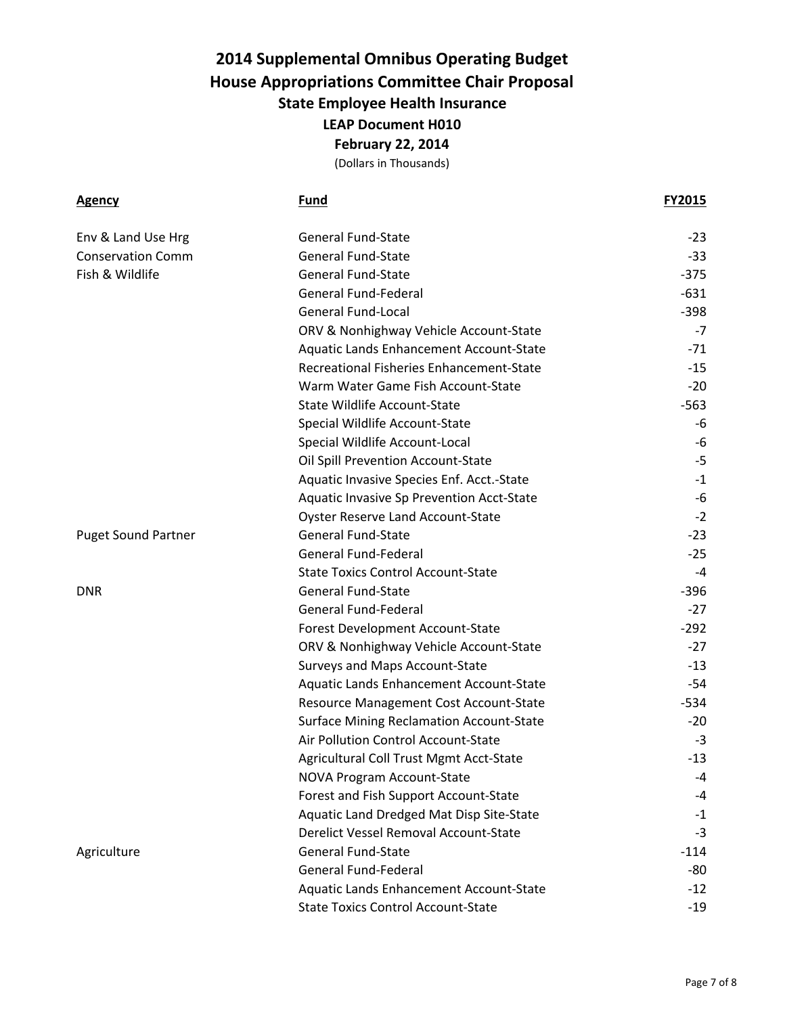(Dollars in Thousands)

| <b>Agency</b>              | <b>Fund</b>                                     | <b>FY2015</b> |
|----------------------------|-------------------------------------------------|---------------|
| Env & Land Use Hrg         | <b>General Fund-State</b>                       | $-23$         |
| <b>Conservation Comm</b>   | <b>General Fund-State</b>                       | $-33$         |
| Fish & Wildlife            | <b>General Fund-State</b>                       | $-375$        |
|                            | <b>General Fund-Federal</b>                     | $-631$        |
|                            | <b>General Fund-Local</b>                       | $-398$        |
|                            | ORV & Nonhighway Vehicle Account-State          | $-7$          |
|                            | Aquatic Lands Enhancement Account-State         | $-71$         |
|                            | Recreational Fisheries Enhancement-State        | $-15$         |
|                            | Warm Water Game Fish Account-State              | $-20$         |
|                            | <b>State Wildlife Account-State</b>             | $-563$        |
|                            | Special Wildlife Account-State                  | -6            |
|                            | Special Wildlife Account-Local                  | -6            |
|                            | Oil Spill Prevention Account-State              | -5            |
|                            | Aquatic Invasive Species Enf. Acct.-State       | $-1$          |
|                            | Aquatic Invasive Sp Prevention Acct-State       | -6            |
|                            | <b>Oyster Reserve Land Account-State</b>        | $-2$          |
| <b>Puget Sound Partner</b> | <b>General Fund-State</b>                       | $-23$         |
|                            | <b>General Fund-Federal</b>                     | $-25$         |
|                            | <b>State Toxics Control Account-State</b>       | $-4$          |
| <b>DNR</b>                 | <b>General Fund-State</b>                       | $-396$        |
|                            | <b>General Fund-Federal</b>                     | $-27$         |
|                            | Forest Development Account-State                | $-292$        |
|                            | ORV & Nonhighway Vehicle Account-State          | $-27$         |
|                            | Surveys and Maps Account-State                  | $-13$         |
|                            | Aquatic Lands Enhancement Account-State         | -54           |
|                            | Resource Management Cost Account-State          | $-534$        |
|                            | <b>Surface Mining Reclamation Account-State</b> | $-20$         |
|                            | Air Pollution Control Account-State             | $-3$          |
|                            | Agricultural Coll Trust Mgmt Acct-State         | $-13$         |
|                            | NOVA Program Account-State                      | -4            |
|                            | Forest and Fish Support Account-State           | -4            |
|                            | Aquatic Land Dredged Mat Disp Site-State        | $-1$          |
|                            | Derelict Vessel Removal Account-State           | $-3$          |
| Agriculture                | <b>General Fund-State</b>                       | $-114$        |
|                            | <b>General Fund-Federal</b>                     | -80           |
|                            | Aquatic Lands Enhancement Account-State         | $-12$         |
|                            | <b>State Toxics Control Account-State</b>       | $-19$         |